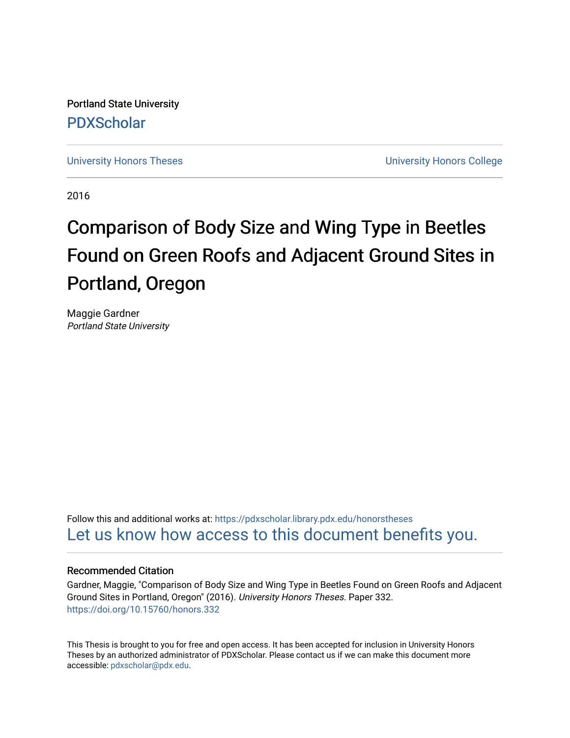Portland State University [PDXScholar](https://pdxscholar.library.pdx.edu/)

[University Honors Theses](https://pdxscholar.library.pdx.edu/honorstheses) [University Honors College](https://pdxscholar.library.pdx.edu/honors) 

2016

# Comparison of Body Size and Wing Type in Beetles Found on Green Roofs and Adjacent Ground Sites in Portland, Oregon

Maggie Gardner Portland State University

Follow this and additional works at: [https://pdxscholar.library.pdx.edu/honorstheses](https://pdxscholar.library.pdx.edu/honorstheses?utm_source=pdxscholar.library.pdx.edu%2Fhonorstheses%2F332&utm_medium=PDF&utm_campaign=PDFCoverPages)  [Let us know how access to this document benefits you.](http://library.pdx.edu/services/pdxscholar-services/pdxscholar-feedback/) 

#### Recommended Citation

Gardner, Maggie, "Comparison of Body Size and Wing Type in Beetles Found on Green Roofs and Adjacent Ground Sites in Portland, Oregon" (2016). University Honors Theses. Paper 332. <https://doi.org/10.15760/honors.332>

This Thesis is brought to you for free and open access. It has been accepted for inclusion in University Honors Theses by an authorized administrator of PDXScholar. Please contact us if we can make this document more accessible: [pdxscholar@pdx.edu.](mailto:pdxscholar@pdx.edu)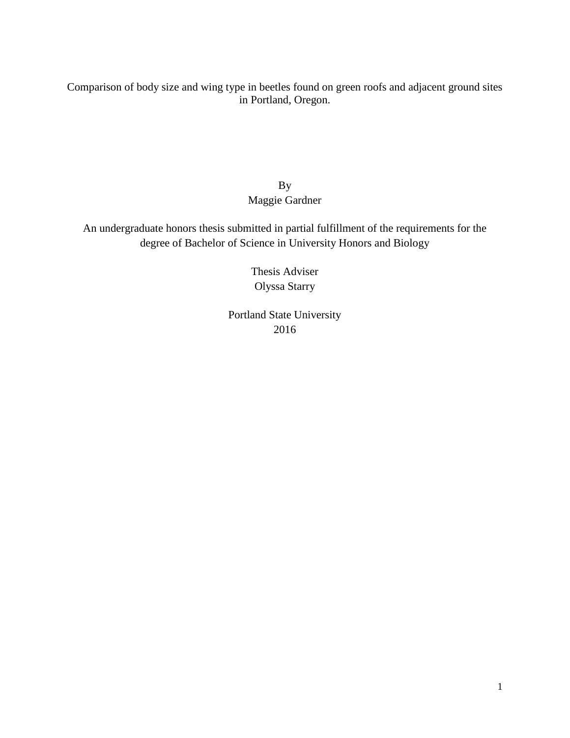Comparison of body size and wing type in beetles found on green roofs and adjacent ground sites in Portland, Oregon.

> By Maggie Gardner

An undergraduate honors thesis submitted in partial fulfillment of the requirements for the degree of Bachelor of Science in University Honors and Biology

> Thesis Adviser Olyssa Starry

Portland State University 2016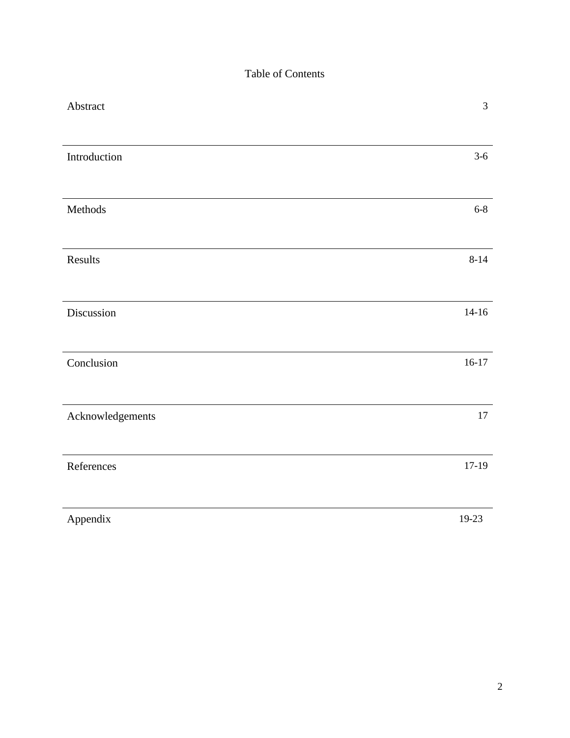### Table of Contents

| Abstract         | $\mathfrak{Z}$ |
|------------------|----------------|
| Introduction     | $3-6$          |
| Methods          | $6 - 8$        |
| Results          | $8 - 14$       |
| Discussion       | $14-16$        |
| Conclusion       | $16-17$        |
| Acknowledgements | $17\,$         |
| References       | $17-19$        |
| Appendix         | 19-23          |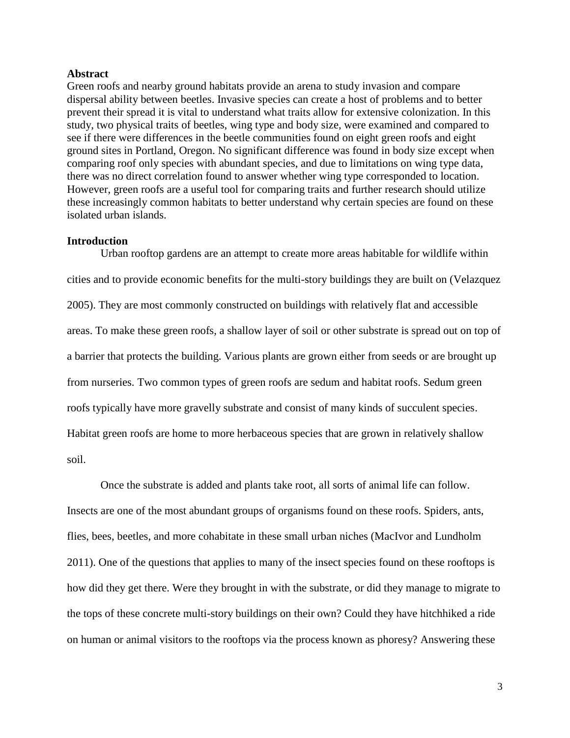#### **Abstract**

Green roofs and nearby ground habitats provide an arena to study invasion and compare dispersal ability between beetles. Invasive species can create a host of problems and to better prevent their spread it is vital to understand what traits allow for extensive colonization. In this study, two physical traits of beetles, wing type and body size, were examined and compared to see if there were differences in the beetle communities found on eight green roofs and eight ground sites in Portland, Oregon. No significant difference was found in body size except when comparing roof only species with abundant species, and due to limitations on wing type data, there was no direct correlation found to answer whether wing type corresponded to location. However, green roofs are a useful tool for comparing traits and further research should utilize these increasingly common habitats to better understand why certain species are found on these isolated urban islands.

#### **Introduction**

Urban rooftop gardens are an attempt to create more areas habitable for wildlife within cities and to provide economic benefits for the multi-story buildings they are built on (Velazquez 2005). They are most commonly constructed on buildings with relatively flat and accessible areas. To make these green roofs, a shallow layer of soil or other substrate is spread out on top of a barrier that protects the building. Various plants are grown either from seeds or are brought up from nurseries. Two common types of green roofs are sedum and habitat roofs. Sedum green roofs typically have more gravelly substrate and consist of many kinds of succulent species. Habitat green roofs are home to more herbaceous species that are grown in relatively shallow soil.

Once the substrate is added and plants take root, all sorts of animal life can follow. Insects are one of the most abundant groups of organisms found on these roofs. Spiders, ants, flies, bees, beetles, and more cohabitate in these small urban niches (MacIvor and Lundholm 2011). One of the questions that applies to many of the insect species found on these rooftops is how did they get there. Were they brought in with the substrate, or did they manage to migrate to the tops of these concrete multi-story buildings on their own? Could they have hitchhiked a ride on human or animal visitors to the rooftops via the process known as phoresy? Answering these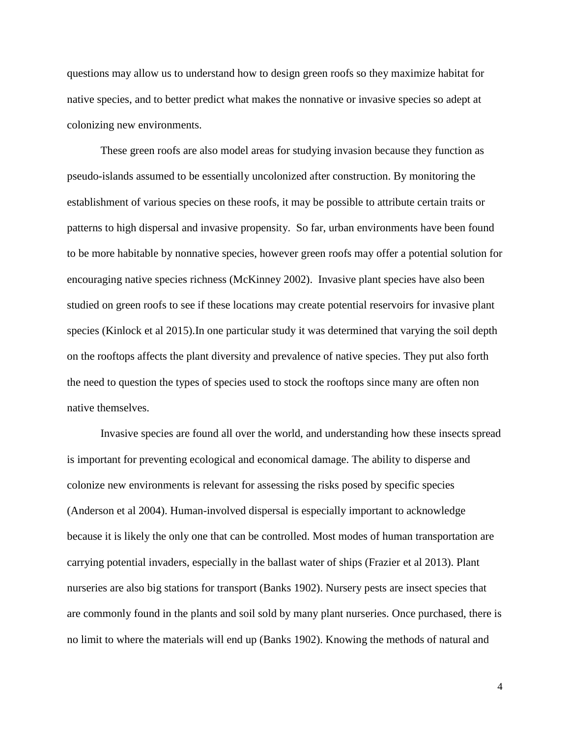questions may allow us to understand how to design green roofs so they maximize habitat for native species, and to better predict what makes the nonnative or invasive species so adept at colonizing new environments.

These green roofs are also model areas for studying invasion because they function as pseudo-islands assumed to be essentially uncolonized after construction. By monitoring the establishment of various species on these roofs, it may be possible to attribute certain traits or patterns to high dispersal and invasive propensity. So far, urban environments have been found to be more habitable by nonnative species, however green roofs may offer a potential solution for encouraging native species richness (McKinney 2002). Invasive plant species have also been studied on green roofs to see if these locations may create potential reservoirs for invasive plant species (Kinlock et al 2015).In one particular study it was determined that varying the soil depth on the rooftops affects the plant diversity and prevalence of native species. They put also forth the need to question the types of species used to stock the rooftops since many are often non native themselves.

Invasive species are found all over the world, and understanding how these insects spread is important for preventing ecological and economical damage. The ability to disperse and colonize new environments is relevant for assessing the risks posed by specific species (Anderson et al 2004). Human-involved dispersal is especially important to acknowledge because it is likely the only one that can be controlled. Most modes of human transportation are carrying potential invaders, especially in the ballast water of ships (Frazier et al 2013). Plant nurseries are also big stations for transport (Banks 1902). Nursery pests are insect species that are commonly found in the plants and soil sold by many plant nurseries. Once purchased, there is no limit to where the materials will end up (Banks 1902). Knowing the methods of natural and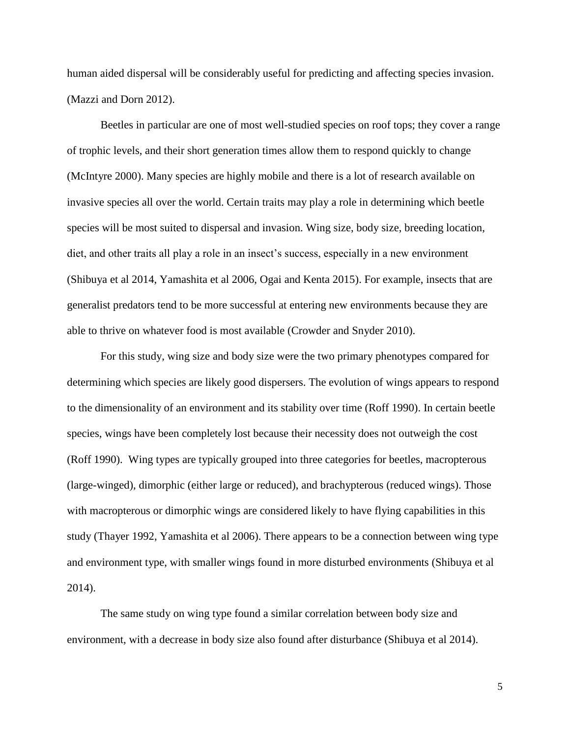human aided dispersal will be considerably useful for predicting and affecting species invasion. (Mazzi and Dorn 2012).

Beetles in particular are one of most well-studied species on roof tops; they cover a range of trophic levels, and their short generation times allow them to respond quickly to change (McIntyre 2000). Many species are highly mobile and there is a lot of research available on invasive species all over the world. Certain traits may play a role in determining which beetle species will be most suited to dispersal and invasion. Wing size, body size, breeding location, diet, and other traits all play a role in an insect's success, especially in a new environment (Shibuya et al 2014, Yamashita et al 2006, Ogai and Kenta 2015). For example, insects that are generalist predators tend to be more successful at entering new environments because they are able to thrive on whatever food is most available (Crowder and Snyder 2010).

For this study, wing size and body size were the two primary phenotypes compared for determining which species are likely good dispersers. The evolution of wings appears to respond to the dimensionality of an environment and its stability over time (Roff 1990). In certain beetle species, wings have been completely lost because their necessity does not outweigh the cost (Roff 1990). Wing types are typically grouped into three categories for beetles, macropterous (large-winged), dimorphic (either large or reduced), and brachypterous (reduced wings). Those with macropterous or dimorphic wings are considered likely to have flying capabilities in this study (Thayer 1992, Yamashita et al 2006). There appears to be a connection between wing type and environment type, with smaller wings found in more disturbed environments (Shibuya et al 2014).

The same study on wing type found a similar correlation between body size and environment, with a decrease in body size also found after disturbance (Shibuya et al 2014).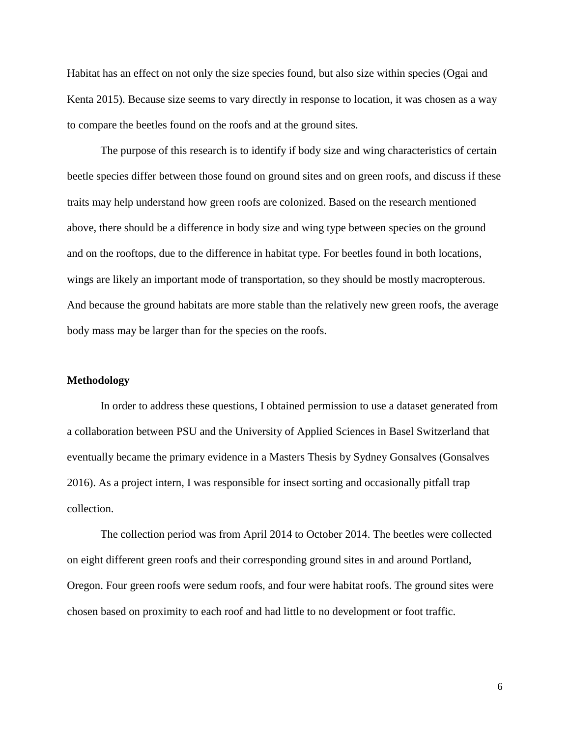Habitat has an effect on not only the size species found, but also size within species (Ogai and Kenta 2015). Because size seems to vary directly in response to location, it was chosen as a way to compare the beetles found on the roofs and at the ground sites.

The purpose of this research is to identify if body size and wing characteristics of certain beetle species differ between those found on ground sites and on green roofs, and discuss if these traits may help understand how green roofs are colonized. Based on the research mentioned above, there should be a difference in body size and wing type between species on the ground and on the rooftops, due to the difference in habitat type. For beetles found in both locations, wings are likely an important mode of transportation, so they should be mostly macropterous. And because the ground habitats are more stable than the relatively new green roofs, the average body mass may be larger than for the species on the roofs.

#### **Methodology**

In order to address these questions, I obtained permission to use a dataset generated from a collaboration between PSU and the University of Applied Sciences in Basel Switzerland that eventually became the primary evidence in a Masters Thesis by Sydney Gonsalves (Gonsalves 2016). As a project intern, I was responsible for insect sorting and occasionally pitfall trap collection.

The collection period was from April 2014 to October 2014. The beetles were collected on eight different green roofs and their corresponding ground sites in and around Portland, Oregon. Four green roofs were sedum roofs, and four were habitat roofs. The ground sites were chosen based on proximity to each roof and had little to no development or foot traffic.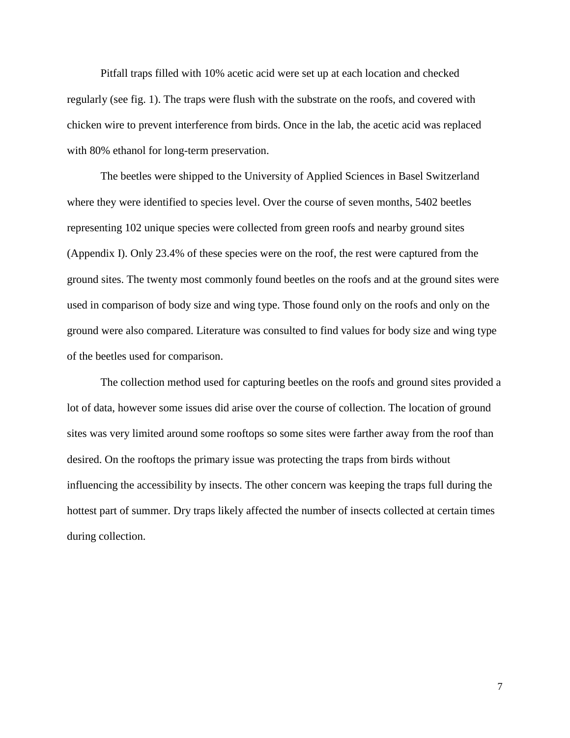Pitfall traps filled with 10% acetic acid were set up at each location and checked regularly (see fig. 1). The traps were flush with the substrate on the roofs, and covered with chicken wire to prevent interference from birds. Once in the lab, the acetic acid was replaced with 80% ethanol for long-term preservation.

The beetles were shipped to the University of Applied Sciences in Basel Switzerland where they were identified to species level. Over the course of seven months, 5402 beetles representing 102 unique species were collected from green roofs and nearby ground sites (Appendix I). Only 23.4% of these species were on the roof, the rest were captured from the ground sites. The twenty most commonly found beetles on the roofs and at the ground sites were used in comparison of body size and wing type. Those found only on the roofs and only on the ground were also compared. Literature was consulted to find values for body size and wing type of the beetles used for comparison.

The collection method used for capturing beetles on the roofs and ground sites provided a lot of data, however some issues did arise over the course of collection. The location of ground sites was very limited around some rooftops so some sites were farther away from the roof than desired. On the rooftops the primary issue was protecting the traps from birds without influencing the accessibility by insects. The other concern was keeping the traps full during the hottest part of summer. Dry traps likely affected the number of insects collected at certain times during collection.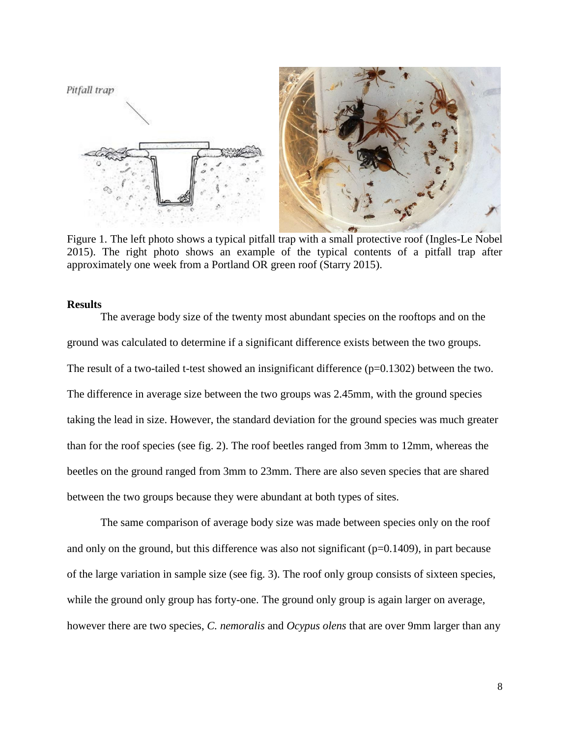

Figure 1. The left photo shows a typical pitfall trap with a small protective roof (Ingles-Le Nobel 2015). The right photo shows an example of the typical contents of a pitfall trap after approximately one week from a Portland OR green roof (Starry 2015).

#### **Results**

The average body size of the twenty most abundant species on the rooftops and on the ground was calculated to determine if a significant difference exists between the two groups. The result of a two-tailed t-test showed an insignificant difference (p=0.1302) between the two. The difference in average size between the two groups was 2.45mm, with the ground species taking the lead in size. However, the standard deviation for the ground species was much greater than for the roof species (see fig. 2). The roof beetles ranged from 3mm to 12mm, whereas the beetles on the ground ranged from 3mm to 23mm. There are also seven species that are shared between the two groups because they were abundant at both types of sites.

The same comparison of average body size was made between species only on the roof and only on the ground, but this difference was also not significant  $(p=0.1409)$ , in part because of the large variation in sample size (see fig. 3). The roof only group consists of sixteen species, while the ground only group has forty-one. The ground only group is again larger on average, however there are two species, *C. nemoralis* and *Ocypus olens* that are over 9mm larger than any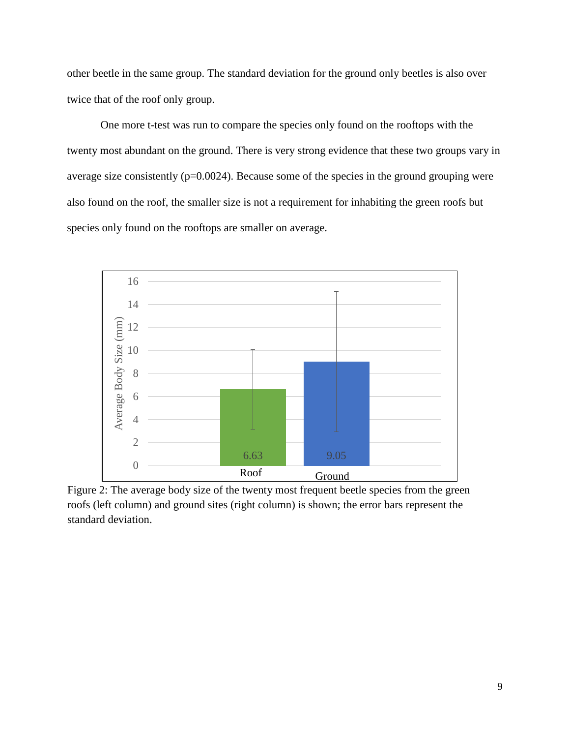other beetle in the same group. The standard deviation for the ground only beetles is also over twice that of the roof only group.

One more t-test was run to compare the species only found on the rooftops with the twenty most abundant on the ground. There is very strong evidence that these two groups vary in average size consistently  $(p=0.0024)$ . Because some of the species in the ground grouping were also found on the roof, the smaller size is not a requirement for inhabiting the green roofs but species only found on the rooftops are smaller on average.



Figure 2: The average body size of the twenty most frequent beetle species from the green roofs (left column) and ground sites (right column) is shown; the error bars represent the standard deviation.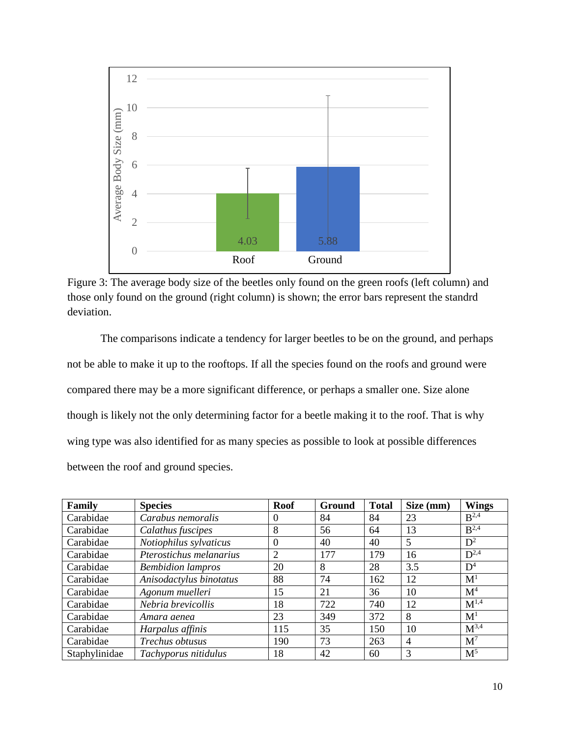

Figure 3: The average body size of the beetles only found on the green roofs (left column) and those only found on the ground (right column) is shown; the error bars represent the standrd deviation.

The comparisons indicate a tendency for larger beetles to be on the ground, and perhaps not be able to make it up to the rooftops. If all the species found on the roofs and ground were compared there may be a more significant difference, or perhaps a smaller one. Size alone though is likely not the only determining factor for a beetle making it to the roof. That is why wing type was also identified for as many species as possible to look at possible differences between the roof and ground species.

| Family        | <b>Species</b>           | <b>Roof</b>    | <b>Ground</b> | <b>Total</b> | Size (mm)      | <b>Wings</b>       |
|---------------|--------------------------|----------------|---------------|--------------|----------------|--------------------|
| Carabidae     | Carabus nemoralis        | $\theta$       | 84            | 84           | 23             | $B^{2,4}$          |
| Carabidae     | Calathus fuscipes        | 8              | 56            | 64           | 13             | $B^{2,4}$          |
| Carabidae     | Notiophilus sylvaticus   | $\overline{0}$ | 40            | 40           | 5              | $D^2$              |
| Carabidae     | Pterostichus melanarius  | 2              | 177           | 179          | 16             | $D^{2,4}$          |
| Carabidae     | <b>Bembidion</b> lampros | 20             | 8             | 28           | 3.5            | $D^4$              |
| Carabidae     | Anisodactylus binotatus  | 88             | 74            | 162          | 12             | $\mathbf{M}^1$     |
| Carabidae     | Agonum muelleri          | 15             | 21            | 36           | 10             | $\mathbf{M}^4$     |
| Carabidae     | Nebria brevicollis       | 18             | 722           | 740          | 12             | $\mathbf{M}^{1,4}$ |
| Carabidae     | Amara aenea              | 23             | 349           | 372          | 8              | $\mathbf{M}^1$     |
| Carabidae     | Harpalus affinis         | 115            | 35            | 150          | 10             | $M^{3,4}$          |
| Carabidae     | Trechus obtusus          | 190            | 73            | 263          | $\overline{4}$ | $\mathbf{M}^7$     |
| Staphylinidae | Tachyporus nitidulus     | 18             | 42            | 60           | 3              | $M^5$              |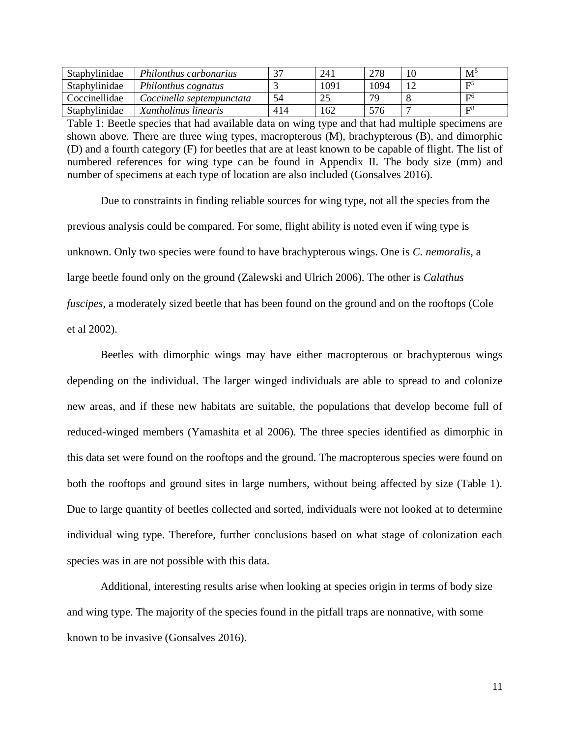| Staphylinidae | Philonthus carbonarius    | $\sim$ | 241  | 278  | $M^5$          |
|---------------|---------------------------|--------|------|------|----------------|
| Staphylinidae | Philonthus cognatus       |        | 1091 | 1094 | $F^5$          |
| Coccinellidae | Coccinella septempunctata | 54     | 25   | 70   | F <sup>6</sup> |
| Staphylinidae | Xantholinus linearis      | 414    | 162  | 576  | $E^8$          |

Table 1: Beetle species that had available data on wing type and that had multiple specimens are shown above. There are three wing types, macropterous (M), brachypterous (B), and dimorphic (D) and a fourth category (F) for beetles that are at least known to be capable of flight. The list of numbered references for wing type can be found in Appendix II. The body size (mm) and number of specimens at each type of location are also included (Gonsalves 2016).

Due to constraints in finding reliable sources for wing type, not all the species from the previous analysis could be compared. For some, flight ability is noted even if wing type is unknown. Only two species were found to have brachypterous wings. One is *C. nemoralis*, a large beetle found only on the ground (Zalewski and Ulrich 2006). The other is *Calathus fuscipes*, a moderately sized beetle that has been found on the ground and on the rooftops (Cole et al 2002).

Beetles with dimorphic wings may have either macropterous or brachypterous wings depending on the individual. The larger winged individuals are able to spread to and colonize new areas, and if these new habitats are suitable, the populations that develop become full of reduced-winged members (Yamashita et al 2006). The three species identified as dimorphic in this data set were found on the rooftops and the ground. The macropterous species were found on both the rooftops and ground sites in large numbers, without being affected by size (Table 1). Due to large quantity of beetles collected and sorted, individuals were not looked at to determine individual wing type. Therefore, further conclusions based on what stage of colonization each species was in are not possible with this data.

Additional, interesting results arise when looking at species origin in terms of body size and wing type. The majority of the species found in the pitfall traps are nonnative, with some known to be invasive (Gonsalves 2016).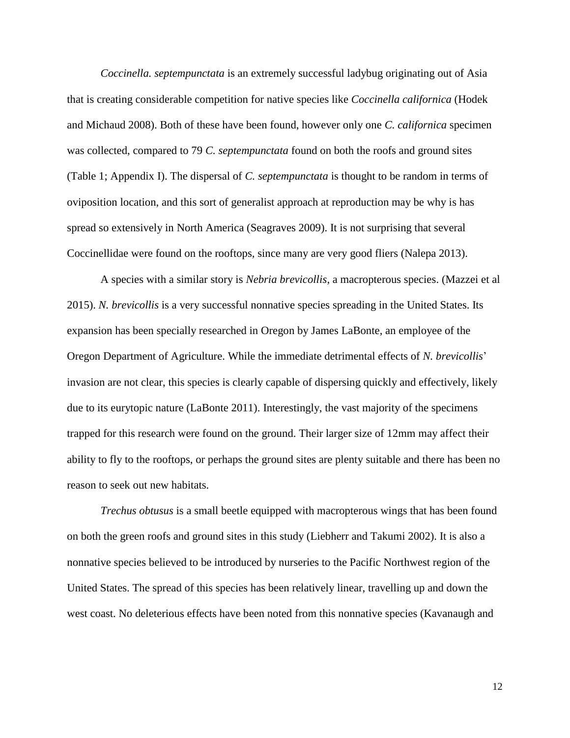*Coccinella. septempunctata* is an extremely successful ladybug originating out of Asia that is creating considerable competition for native species like *Coccinella californica* (Hodek and Michaud 2008). Both of these have been found, however only one *C. californica* specimen was collected, compared to 79 *C. septempunctata* found on both the roofs and ground sites (Table 1; Appendix I). The dispersal of *C. septempunctata* is thought to be random in terms of oviposition location, and this sort of generalist approach at reproduction may be why is has spread so extensively in North America (Seagraves 2009). It is not surprising that several Coccinellidae were found on the rooftops, since many are very good fliers (Nalepa 2013).

A species with a similar story is *Nebria brevicollis*, a macropterous species. (Mazzei et al 2015). *N. brevicollis* is a very successful nonnative species spreading in the United States. Its expansion has been specially researched in Oregon by James LaBonte, an employee of the Oregon Department of Agriculture. While the immediate detrimental effects of *N. brevicollis*' invasion are not clear, this species is clearly capable of dispersing quickly and effectively, likely due to its eurytopic nature (LaBonte 2011). Interestingly, the vast majority of the specimens trapped for this research were found on the ground. Their larger size of 12mm may affect their ability to fly to the rooftops, or perhaps the ground sites are plenty suitable and there has been no reason to seek out new habitats.

*Trechus obtusus* is a small beetle equipped with macropterous wings that has been found on both the green roofs and ground sites in this study (Liebherr and Takumi 2002). It is also a nonnative species believed to be introduced by nurseries to the Pacific Northwest region of the United States. The spread of this species has been relatively linear, travelling up and down the west coast. No deleterious effects have been noted from this nonnative species (Kavanaugh and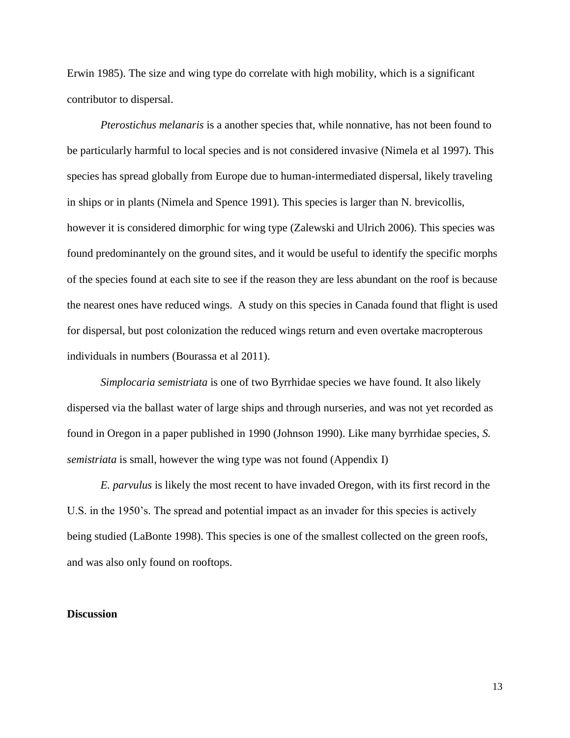Erwin 1985). The size and wing type do correlate with high mobility, which is a significant contributor to dispersal.

*Pterostichus melanaris* is a another species that, while nonnative, has not been found to be particularly harmful to local species and is not considered invasive (Nimela et al 1997). This species has spread globally from Europe due to human-intermediated dispersal, likely traveling in ships or in plants (Nimela and Spence 1991). This species is larger than N. brevicollis, however it is considered dimorphic for wing type (Zalewski and Ulrich 2006). This species was found predominantely on the ground sites, and it would be useful to identify the specific morphs of the species found at each site to see if the reason they are less abundant on the roof is because the nearest ones have reduced wings. A study on this species in Canada found that flight is used for dispersal, but post colonization the reduced wings return and even overtake macropterous individuals in numbers (Bourassa et al 2011).

*Simplocaria semistriata* is one of two Byrrhidae species we have found. It also likely dispersed via the ballast water of large ships and through nurseries, and was not yet recorded as found in Oregon in a paper published in 1990 (Johnson 1990). Like many byrrhidae species, *S. semistriata* is small, however the wing type was not found (Appendix I)

*E. parvulus* is likely the most recent to have invaded Oregon, with its first record in the U.S. in the 1950's. The spread and potential impact as an invader for this species is actively being studied (LaBonte 1998). This species is one of the smallest collected on the green roofs, and was also only found on rooftops.

#### **Discussion**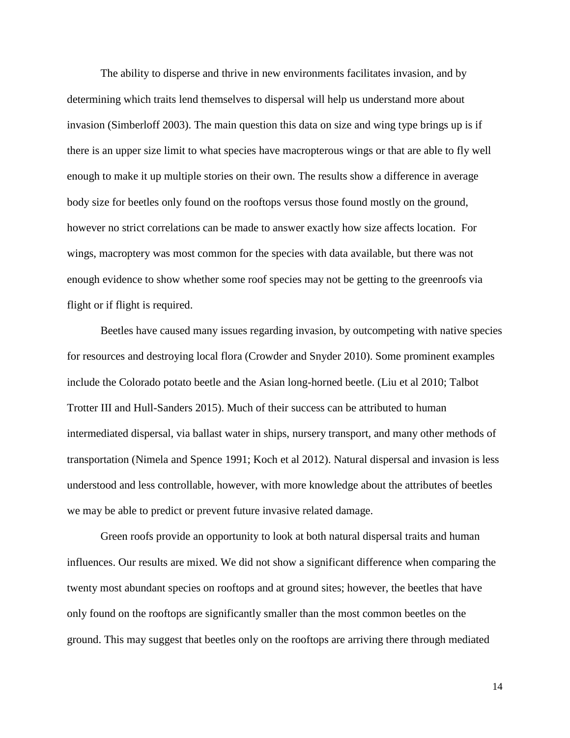The ability to disperse and thrive in new environments facilitates invasion, and by determining which traits lend themselves to dispersal will help us understand more about invasion (Simberloff 2003). The main question this data on size and wing type brings up is if there is an upper size limit to what species have macropterous wings or that are able to fly well enough to make it up multiple stories on their own. The results show a difference in average body size for beetles only found on the rooftops versus those found mostly on the ground, however no strict correlations can be made to answer exactly how size affects location. For wings, macroptery was most common for the species with data available, but there was not enough evidence to show whether some roof species may not be getting to the greenroofs via flight or if flight is required.

Beetles have caused many issues regarding invasion, by outcompeting with native species for resources and destroying local flora (Crowder and Snyder 2010). Some prominent examples include the Colorado potato beetle and the Asian long-horned beetle. (Liu et al 2010; Talbot Trotter III and Hull-Sanders 2015). Much of their success can be attributed to human intermediated dispersal, via ballast water in ships, nursery transport, and many other methods of transportation (Nimela and Spence 1991; Koch et al 2012). Natural dispersal and invasion is less understood and less controllable, however, with more knowledge about the attributes of beetles we may be able to predict or prevent future invasive related damage.

Green roofs provide an opportunity to look at both natural dispersal traits and human influences. Our results are mixed. We did not show a significant difference when comparing the twenty most abundant species on rooftops and at ground sites; however, the beetles that have only found on the rooftops are significantly smaller than the most common beetles on the ground. This may suggest that beetles only on the rooftops are arriving there through mediated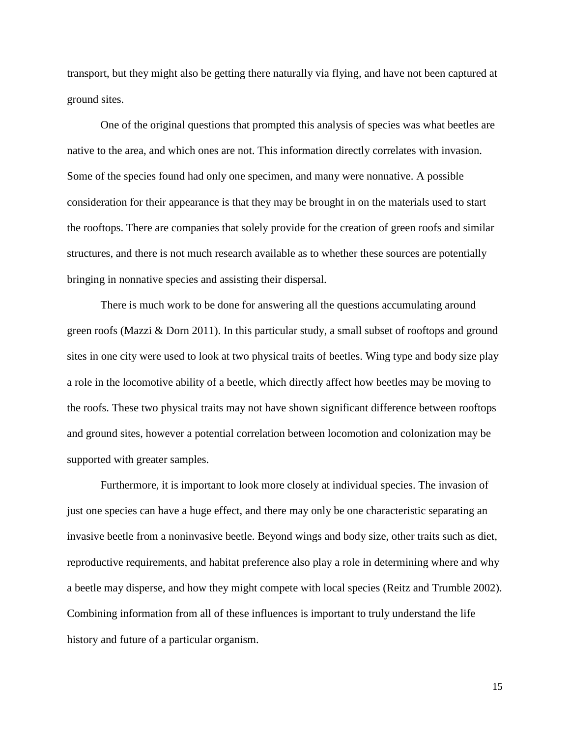transport, but they might also be getting there naturally via flying, and have not been captured at ground sites.

One of the original questions that prompted this analysis of species was what beetles are native to the area, and which ones are not. This information directly correlates with invasion. Some of the species found had only one specimen, and many were nonnative. A possible consideration for their appearance is that they may be brought in on the materials used to start the rooftops. There are companies that solely provide for the creation of green roofs and similar structures, and there is not much research available as to whether these sources are potentially bringing in nonnative species and assisting their dispersal.

There is much work to be done for answering all the questions accumulating around green roofs (Mazzi & Dorn 2011). In this particular study, a small subset of rooftops and ground sites in one city were used to look at two physical traits of beetles. Wing type and body size play a role in the locomotive ability of a beetle, which directly affect how beetles may be moving to the roofs. These two physical traits may not have shown significant difference between rooftops and ground sites, however a potential correlation between locomotion and colonization may be supported with greater samples.

Furthermore, it is important to look more closely at individual species. The invasion of just one species can have a huge effect, and there may only be one characteristic separating an invasive beetle from a noninvasive beetle. Beyond wings and body size, other traits such as diet, reproductive requirements, and habitat preference also play a role in determining where and why a beetle may disperse, and how they might compete with local species (Reitz and Trumble 2002). Combining information from all of these influences is important to truly understand the life history and future of a particular organism.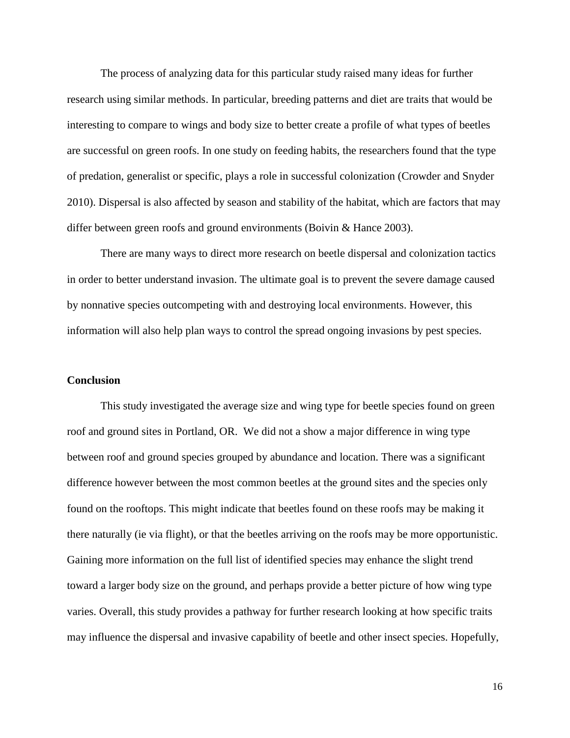The process of analyzing data for this particular study raised many ideas for further research using similar methods. In particular, breeding patterns and diet are traits that would be interesting to compare to wings and body size to better create a profile of what types of beetles are successful on green roofs. In one study on feeding habits, the researchers found that the type of predation, generalist or specific, plays a role in successful colonization (Crowder and Snyder 2010). Dispersal is also affected by season and stability of the habitat, which are factors that may differ between green roofs and ground environments (Boivin & Hance 2003).

There are many ways to direct more research on beetle dispersal and colonization tactics in order to better understand invasion. The ultimate goal is to prevent the severe damage caused by nonnative species outcompeting with and destroying local environments. However, this information will also help plan ways to control the spread ongoing invasions by pest species.

#### **Conclusion**

This study investigated the average size and wing type for beetle species found on green roof and ground sites in Portland, OR. We did not a show a major difference in wing type between roof and ground species grouped by abundance and location. There was a significant difference however between the most common beetles at the ground sites and the species only found on the rooftops. This might indicate that beetles found on these roofs may be making it there naturally (ie via flight), or that the beetles arriving on the roofs may be more opportunistic. Gaining more information on the full list of identified species may enhance the slight trend toward a larger body size on the ground, and perhaps provide a better picture of how wing type varies. Overall, this study provides a pathway for further research looking at how specific traits may influence the dispersal and invasive capability of beetle and other insect species. Hopefully,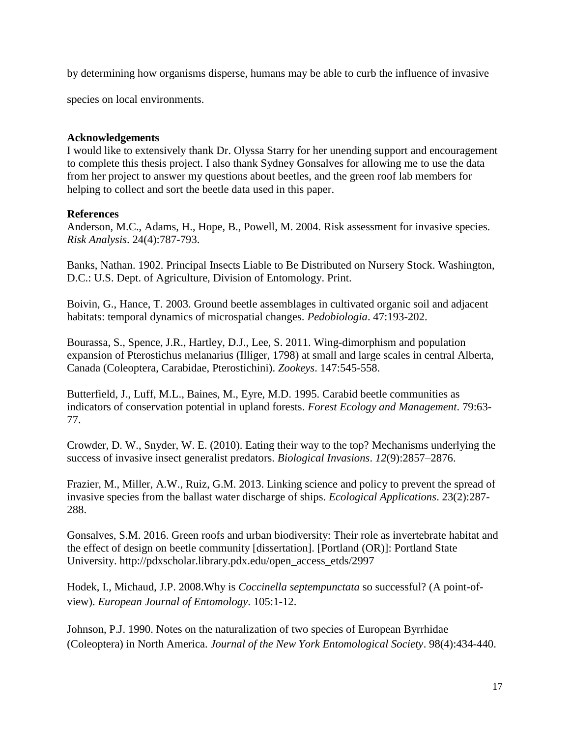by determining how organisms disperse, humans may be able to curb the influence of invasive

species on local environments.

#### **Acknowledgements**

I would like to extensively thank Dr. Olyssa Starry for her unending support and encouragement to complete this thesis project. I also thank Sydney Gonsalves for allowing me to use the data from her project to answer my questions about beetles, and the green roof lab members for helping to collect and sort the beetle data used in this paper.

#### **References**

Anderson, M.C., Adams, H., Hope, B., Powell, M. 2004. Risk assessment for invasive species. *Risk Analysis*. 24(4):787-793.

Banks, Nathan. 1902. Principal Insects Liable to Be Distributed on Nursery Stock. Washington, D.C.: U.S. Dept. of Agriculture, Division of Entomology. Print.

Boivin, G., Hance, T. 2003. Ground beetle assemblages in cultivated organic soil and adjacent habitats: temporal dynamics of microspatial changes. *Pedobiologia*. 47:193-202.

Bourassa, S., Spence, J.R., Hartley, D.J., Lee, S. 2011. Wing-dimorphism and population expansion of Pterostichus melanarius (Illiger, 1798) at small and large scales in central Alberta, Canada (Coleoptera, Carabidae, Pterostichini). *Zookeys*. 147:545-558.

Butterfield, J., Luff, M.L., Baines, M., Eyre, M.D. 1995. Carabid beetle communities as indicators of conservation potential in upland forests. *Forest Ecology and Management*. 79:63- 77.

Crowder, D. W., Snyder, W. E. (2010). Eating their way to the top? Mechanisms underlying the success of invasive insect generalist predators. *Biological Invasions*. *12*(9):2857–2876.

Frazier, M., Miller, A.W., Ruiz, G.M. 2013. Linking science and policy to prevent the spread of invasive species from the ballast water discharge of ships. *Ecological Applications*. 23(2):287- 288.

Gonsalves, S.M. 2016. Green roofs and urban biodiversity: Their role as invertebrate habitat and the effect of design on beetle community [dissertation]. [Portland (OR)]: Portland State University. http://pdxscholar.library.pdx.edu/open\_access\_etds/2997

Hodek, I., Michaud, J.P. 2008.Why is *Coccinella septempunctata* so successful? (A point-ofview). *European Journal of Entomology*. 105:1-12.

Johnson, P.J. 1990. Notes on the naturalization of two species of European Byrrhidae (Coleoptera) in North America. *Journal of the New York Entomological Society*. 98(4):434-440.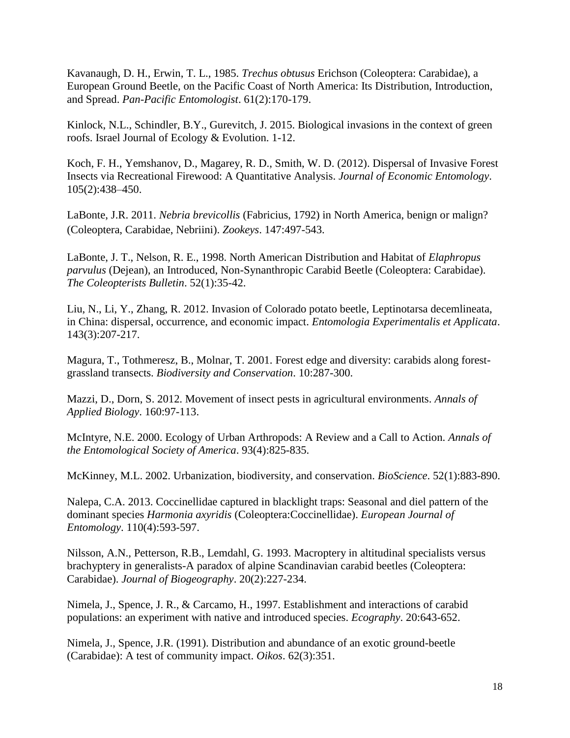Kavanaugh, D. H., Erwin, T. L., 1985. *Trechus obtusus* Erichson (Coleoptera: Carabidae), a European Ground Beetle, on the Pacific Coast of North America: Its Distribution, Introduction, and Spread. *Pan-Pacific Entomologist*. 61(2):170-179.

Kinlock, N.L., Schindler, B.Y., Gurevitch, J. 2015. Biological invasions in the context of green roofs. Israel Journal of Ecology & Evolution. 1-12.

Koch, F. H., Yemshanov, D., Magarey, R. D., Smith, W. D. (2012). Dispersal of Invasive Forest Insects via Recreational Firewood: A Quantitative Analysis. *Journal of Economic Entomology*. 105(2):438–450.

LaBonte, J.R. 2011. *Nebria brevicollis* (Fabricius, 1792) in North America, benign or malign? (Coleoptera, Carabidae, Nebriini). *Zookeys*. 147:497-543.

LaBonte, J. T., Nelson, R. E., 1998. North American Distribution and Habitat of *Elaphropus parvulus* (Dejean), an Introduced, Non-Synanthropic Carabid Beetle (Coleoptera: Carabidae). *The Coleopterists Bulletin*. 52(1):35-42.

Liu, N., Li, Y., Zhang, R. 2012. Invasion of Colorado potato beetle, Leptinotarsa decemlineata, in China: dispersal, occurrence, and economic impact. *Entomologia Experimentalis et Applicata*. 143(3):207-217.

Magura, T., Tothmeresz, B., Molnar, T. 2001. Forest edge and diversity: carabids along forestgrassland transects. *Biodiversity and Conservation*. 10:287-300.

Mazzi, D., Dorn, S. 2012. Movement of insect pests in agricultural environments. *Annals of Applied Biology*. 160:97-113.

McIntyre, N.E. 2000. Ecology of Urban Arthropods: A Review and a Call to Action. *Annals of the Entomological Society of America*. 93(4):825-835.

McKinney, M.L. 2002. Urbanization, biodiversity, and conservation. *BioScience*. 52(1):883-890.

Nalepa, C.A. 2013. Coccinellidae captured in blacklight traps: Seasonal and diel pattern of the dominant species *Harmonia axyridis* (Coleoptera:Coccinellidae). *European Journal of Entomology*. 110(4):593-597.

Nilsson, A.N., Petterson, R.B., Lemdahl, G. 1993. Macroptery in altitudinal specialists versus brachyptery in generalists-A paradox of alpine Scandinavian carabid beetles (Coleoptera: Carabidae). *Journal of Biogeography*. 20(2):227-234.

Nimela, J., Spence, J. R., & Carcamo, H., 1997. Establishment and interactions of carabid populations: an experiment with native and introduced species. *Ecography*. 20:643-652.

Nimela, J., Spence, J.R. (1991). Distribution and abundance of an exotic ground-beetle (Carabidae): A test of community impact. *Oikos*. 62(3):351.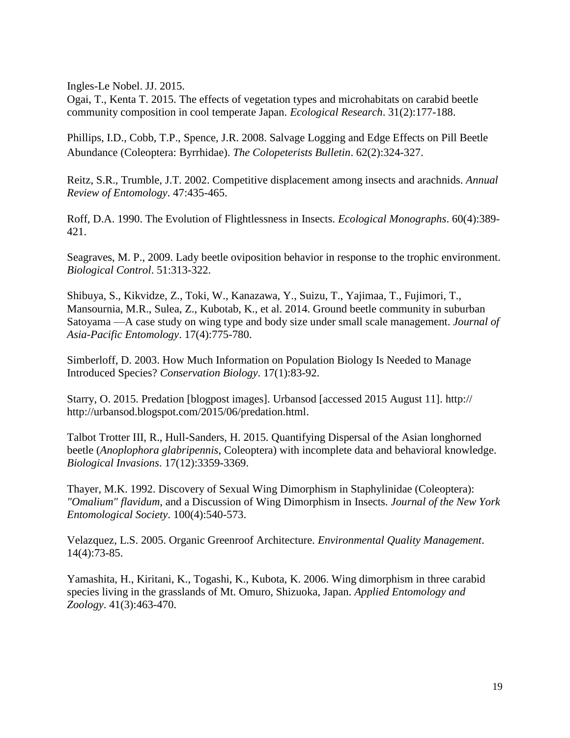Ingles-Le Nobel. JJ. 2015.

Ogai, T., Kenta T. 2015. The effects of vegetation types and microhabitats on carabid beetle community composition in cool temperate Japan. *Ecological Research*. 31(2):177-188.

Phillips, I.D., Cobb, T.P., Spence, J.R. 2008. Salvage Logging and Edge Effects on Pill Beetle Abundance (Coleoptera: Byrrhidae). *The Colopeterists Bulletin*. 62(2):324-327.

Reitz, S.R., Trumble, J.T. 2002. Competitive displacement among insects and arachnids. *Annual Review of Entomology*. 47:435-465.

Roff, D.A. 1990. The Evolution of Flightlessness in Insects. *Ecological Monographs*. 60(4):389- 421.

Seagraves, M. P., 2009. Lady beetle oviposition behavior in response to the trophic environment. *Biological Control*. 51:313-322.

Shibuya, S., Kikvidze, Z., Toki, W., Kanazawa, Y., Suizu, T., Yajimaa, T., Fujimori, T., Mansournia, M.R., Sulea, Z., Kubotab, K., et al. 2014. Ground beetle community in suburban Satoyama —A case study on wing type and body size under small scale management. *Journal of Asia-Pacific Entomology*. 17(4):775-780.

Simberloff, D. 2003. How Much Information on Population Biology Is Needed to Manage Introduced Species? *Conservation Biology*. 17(1):83-92.

Starry, O. 2015. Predation [blogpost images]. Urbansod [accessed 2015 August 11]. http:// [http://urbansod.blogspot.com/2015/06/predation.html.](http://urbansod.blogspot.com/2015/06/predation.html)

Talbot Trotter III, R., Hull-Sanders, H. 2015. Quantifying Dispersal of the Asian longhorned beetle (*Anoplophora glabripennis*, Coleoptera) with incomplete data and behavioral knowledge. *Biological Invasions*. 17(12):3359-3369.

Thayer, M.K. 1992. Discovery of Sexual Wing Dimorphism in Staphylinidae (Coleoptera): *"Omalium" flavidum*, and a Discussion of Wing Dimorphism in Insects. *Journal of the New York Entomological Society*. 100(4):540-573.

Velazquez, L.S. 2005. Organic Greenroof Architecture. *Environmental Quality Management*. 14(4):73-85.

Yamashita, H., Kiritani, K., Togashi, K., Kubota, K. 2006. Wing dimorphism in three carabid species living in the grasslands of Mt. Omuro, Shizuoka, Japan. *Applied Entomology and Zoology*. 41(3):463-470.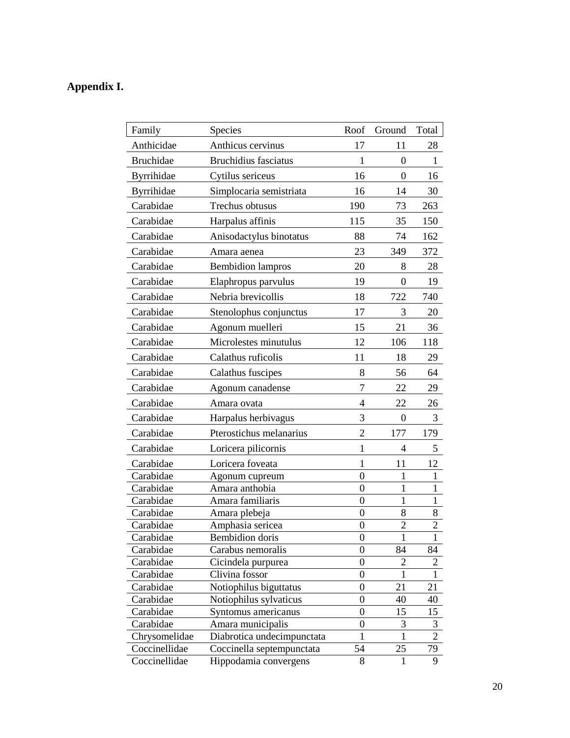## **Appendix I.**

| Family            | <b>Species</b>              | Roof             | Ground         | Total          |
|-------------------|-----------------------------|------------------|----------------|----------------|
| Anthicidae        | Anthicus cervinus           | 17               | 11             | 28             |
| <b>Bruchidae</b>  | <b>Bruchidius</b> fasciatus | 1                | $\overline{0}$ | 1              |
| <b>Byrrihidae</b> | Cytilus sericeus            | 16               | $\overline{0}$ | 16             |
| <b>Byrrihidae</b> | Simplocaria semistriata     | 16               | 14             | 30             |
| Carabidae         | Trechus obtusus             | 190              | 73             | 263            |
| Carabidae         | Harpalus affinis            | 115              | 35             | 150            |
| Carabidae         | Anisodactylus binotatus     | 88               | 74             | 162            |
| Carabidae         | Amara aenea                 | 23               | 349            | 372            |
| Carabidae         | <b>Bembidion</b> lampros    | 20               | 8              | 28             |
| Carabidae         | Elaphropus parvulus         | 19               | $\overline{0}$ | 19             |
| Carabidae         | Nebria brevicollis          | 18               | 722            | 740            |
| Carabidae         | Stenolophus conjunctus      | 17               | 3              | 20             |
| Carabidae         | Agonum muelleri             | 15               | 21             | 36             |
| Carabidae         | Microlestes minutulus       | 12               | 106            | 118            |
| Carabidae         | Calathus ruficolis          | 11               | 18             | 29             |
| Carabidae         | Calathus fuscipes           | 8                | 56             | 64             |
| Carabidae         | Agonum canadense            | 7                | 22             | 29             |
| Carabidae         | Amara ovata                 | 4                | 22             | 26             |
| Carabidae         | Harpalus herbivagus         | 3                | $\overline{0}$ | 3              |
| Carabidae         | Pterostichus melanarius     | $\overline{2}$   | 177            | 179            |
| Carabidae         | Loricera pilicornis         | 1                | 4              | 5              |
| Carabidae         | Loricera foveata            | 1                | 11             | 12             |
| Carabidae         | Agonum cupreum              | $\theta$         | $\mathbf{1}$   | $\mathbf{1}$   |
| Carabidae         | Amara anthobia              | $\overline{0}$   | $\mathbf{1}$   | $\mathbf{1}$   |
| Carabidae         | Amara familiaris            | $\theta$         | 1              | $\mathbf{1}$   |
| Carabidae         | Amara plebeja               | $\boldsymbol{0}$ | 8              | 8              |
| Carabidae         | Amphasia sericea            | $\overline{0}$   | $\overline{2}$ | $\overline{2}$ |
| Carabidae         | Bembidion doris             | $\boldsymbol{0}$ | 1              | 1              |
| Carabidae         | Carabus nemoralis           | $\boldsymbol{0}$ | 84             | 84             |
| Carabidae         | Cicindela purpurea          | $\boldsymbol{0}$ | $\overline{2}$ | 2              |
| Carabidae         | Clivina fossor              | $\boldsymbol{0}$ | $\mathbf{1}$   | $\mathbf{1}$   |
| Carabidae         | Notiophilus biguttatus      | $\boldsymbol{0}$ | 21             | 21             |
| Carabidae         | Notiophilus sylvaticus      | $\boldsymbol{0}$ | 40             | 40             |
| Carabidae         | Syntomus americanus         | $\overline{0}$   | 15             | 15             |
| Carabidae         | Amara municipalis           | $\boldsymbol{0}$ | 3              | 3              |
| Chrysomelidae     | Diabrotica undecimpunctata  | $\mathbf{1}$     | $\mathbf{1}$   | $\mathbf{2}$   |
| Coccinellidae     | Coccinella septempunctata   | 54               | 25             | 79             |
| Coccinellidae     | Hippodamia convergens       | 8                | 1              | 9              |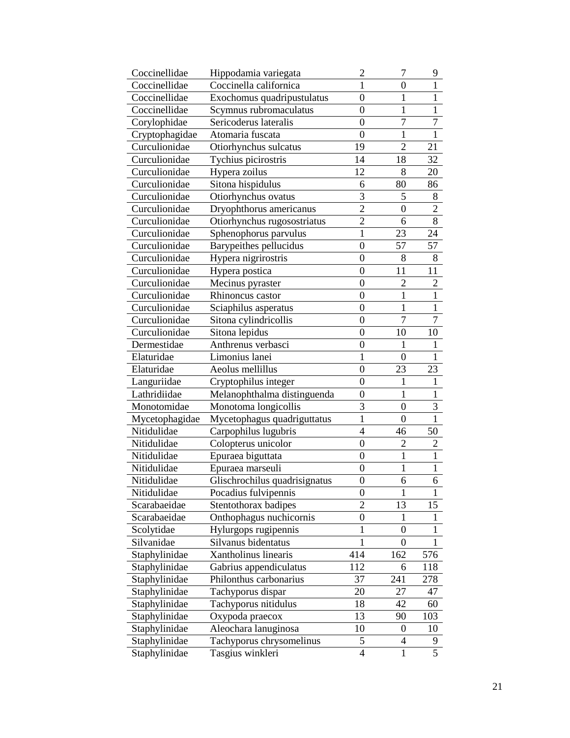| Coccinellidae  | Hippodamia variegata          | $\overline{c}$           | 7                | 9              |
|----------------|-------------------------------|--------------------------|------------------|----------------|
| Coccinellidae  | Coccinella californica        | 1                        | 0                | $\mathbf{1}$   |
| Coccinellidae  | Exochomus quadripustulatus    | $\boldsymbol{0}$         | 1                | 1              |
| Coccinellidae  | Scymnus rubromaculatus        | $\overline{0}$           | 1                | 1              |
| Corylophidae   | Sericoderus lateralis         | 0                        | $\overline{7}$   | 7              |
| Cryptophagidae | Atomaria fuscata              | $\boldsymbol{0}$         | $\mathbf{1}$     | 1              |
| Curculionidae  | Otiorhynchus sulcatus         | 19                       | $\overline{2}$   | 21             |
| Curculionidae  | Tychius picirostris           | 14                       | 18               | 32             |
| Curculionidae  | Hypera zoilus                 | 12                       | 8                | 20             |
| Curculionidae  | Sitona hispidulus             | 6                        | 80               | 86             |
| Curculionidae  | Otiorhynchus ovatus           | 3                        | 5                | 8              |
| Curculionidae  | Dryophthorus americanus       | $\overline{2}$           | $\boldsymbol{0}$ | $\overline{2}$ |
| Curculionidae  | Otiorhynchus rugosostriatus   | $\overline{c}$           | 6                | 8              |
| Curculionidae  | Sphenophorus parvulus         | 1                        | 23               | 24             |
| Curculionidae  | Barypeithes pellucidus        | $\boldsymbol{0}$         | 57               | 57             |
| Curculionidae  | Hypera nigrirostris           | $\boldsymbol{0}$         | 8                | 8              |
| Curculionidae  | Hypera postica                | 0                        | 11               | 11             |
| Curculionidae  | Mecinus pyraster              | $\boldsymbol{0}$         | $\overline{2}$   | $\overline{2}$ |
| Curculionidae  | Rhinoncus castor              | $\overline{0}$           | $\mathbf{1}$     | $\mathbf{1}$   |
| Curculionidae  | Sciaphilus asperatus          | 0                        | $\mathbf{1}$     | 1              |
| Curculionidae  | Sitona cylindricollis         | 0                        | $\overline{7}$   | 7              |
| Curculionidae  | Sitona lepidus                | $\overline{0}$           | 10               | 10             |
| Dermestidae    | Anthrenus verbasci            | $\overline{0}$           | 1                | 1              |
| Elaturidae     | Limonius lanei                | 1                        | $\overline{0}$   | 1              |
| Elaturidae     | Aeolus mellillus              | $\boldsymbol{0}$         | 23               | 23             |
| Languriidae    | Cryptophilus integer          | 0                        | 1                | 1              |
| Lathridiidae   | Melanophthalma distinguenda   | $\boldsymbol{0}$         | $\mathbf{1}$     | $\mathbf{1}$   |
| Monotomidae    | Monotoma longicollis          | 3                        | $\overline{0}$   | 3              |
| Mycetophagidae | Mycetophagus quadriguttatus   | $\mathbf{1}$             | $\boldsymbol{0}$ | $\mathbf{1}$   |
| Nitidulidae    | Carpophilus lugubris          | 4                        | 46               | 50             |
| Nitidulidae    | Colopterus unicolor           | 0                        | 2                | 2              |
| Nitidulidae    | Epuraea biguttata             | $\boldsymbol{0}$         | 1                | 1              |
| Nitidulidae    | Epuraea marseuli              | $\overline{0}$           | 1                | 1              |
| Nitidulidae    | Glischrochilus quadrisignatus | $\overline{0}$           | 6                | 6              |
| Nitidulidae    | Pocadius fulvipennis          | 0                        | $\mathbf{1}$     | 1              |
| Scarabaeidae   | Stentothorax badipes          | $\overline{2}$           | 13               | 15             |
| Scarabaeidae   | Onthophagus nuchicornis       | $\boldsymbol{0}$         | 1                | 1              |
| Scolytidae     | Hylurgops rugipennis          | 1                        | 0                | 1              |
| Silvanidae     | Silvanus bidentatus           | $\mathbf{1}$             | $\boldsymbol{0}$ | 1              |
| Staphylinidae  | Xantholinus linearis          | 414                      | 162              | 576            |
| Staphylinidae  | Gabrius appendiculatus        | 112                      | 6                | 118            |
| Staphylinidae  | Philonthus carbonarius        | 37                       | 241              | 278            |
| Staphylinidae  | Tachyporus dispar             | 20                       | 27               | 47             |
| Staphylinidae  | Tachyporus nitidulus          | 18                       | 42               | 60             |
| Staphylinidae  | Oxypoda praecox               | 13                       | 90               | 103            |
| Staphylinidae  | Aleochara lanuginosa          | 10                       | $\boldsymbol{0}$ | 10             |
| Staphylinidae  | Tachyporus chrysomelinus      | 5                        | 4                | 9              |
| Staphylinidae  | Tasgius winkleri              | $\overline{\mathcal{L}}$ | $\mathbf{1}$     | $\overline{5}$ |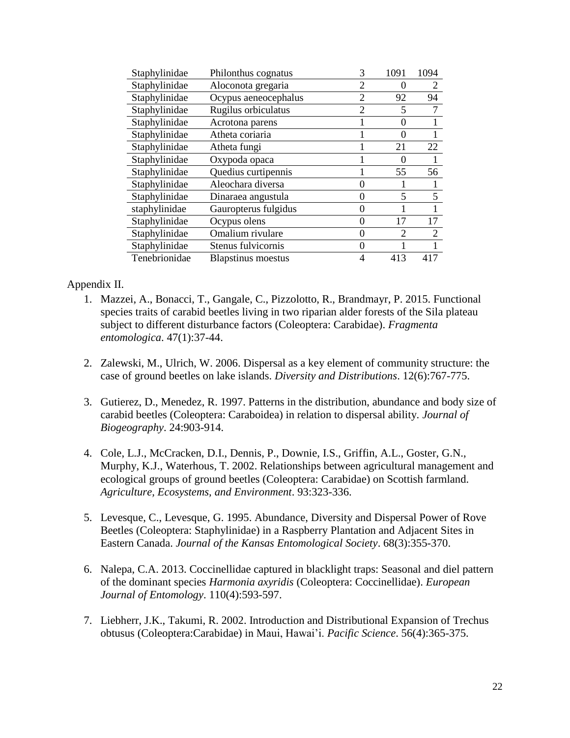| Staphylinidae | Philonthus cognatus       | 3              | 1091              | 1094 |
|---------------|---------------------------|----------------|-------------------|------|
| Staphylinidae | Aloconota gregaria        | 2              | $\mathbf{\Omega}$ | 2    |
| Staphylinidae | Ocypus aeneocephalus      | $\overline{2}$ | 92                | 94   |
| Staphylinidae | Rugilus orbiculatus       | $\overline{c}$ | 5                 | 7    |
| Staphylinidae | Acrotona parens           |                | 0                 |      |
| Staphylinidae | Atheta coriaria           |                | $\Omega$          |      |
| Staphylinidae | Atheta fungi              |                | 21                | 22   |
| Staphylinidae | Oxypoda opaca             |                |                   |      |
| Staphylinidae | Quedius curtipennis       |                | 55                | 56   |
| Staphylinidae | Aleochara diversa         | 0              |                   |      |
| Staphylinidae | Dinaraea angustula        | 0              | 5                 | 5    |
| staphylinidae | Gauropterus fulgidus      | 0              |                   |      |
| Staphylinidae | Ocypus olens              | 0              | 17                | 17   |
| Staphylinidae | Omalium rivulare          | 0              | 2                 | 2    |
| Staphylinidae | Stenus fulvicornis        | 0              |                   |      |
| Tenebrionidae | <b>Blapstinus</b> moestus |                | 413               | 417  |

#### Appendix II.

- 1. Mazzei, A., Bonacci, T., Gangale, C., Pizzolotto, R., Brandmayr, P. 2015. Functional species traits of carabid beetles living in two riparian alder forests of the Sila plateau subject to different disturbance factors (Coleoptera: Carabidae). *Fragmenta entomologica*. 47(1):37-44.
- 2. Zalewski, M., Ulrich, W. 2006. Dispersal as a key element of community structure: the case of ground beetles on lake islands. *Diversity and Distributions*. 12(6):767-775.
- 3. Gutierez, D., Menedez, R. 1997. Patterns in the distribution, abundance and body size of carabid beetles (Coleoptera: Caraboidea) in relation to dispersal ability. *Journal of Biogeography*. 24:903-914.
- 4. Cole, L.J., McCracken, D.I., Dennis, P., Downie, I.S., Griffin, A.L., Goster, G.N., Murphy, K.J., Waterhous, T. 2002. Relationships between agricultural management and ecological groups of ground beetles (Coleoptera: Carabidae) on Scottish farmland. *Agriculture, Ecosystems, and Environment*. 93:323-336.
- 5. Levesque, C., Levesque, G. 1995. Abundance, Diversity and Dispersal Power of Rove Beetles (Coleoptera: Staphylinidae) in a Raspberry Plantation and Adjacent Sites in Eastern Canada. *Journal of the Kansas Entomological Society*. 68(3):355-370.
- 6. Nalepa, C.A. 2013. Coccinellidae captured in blacklight traps: Seasonal and diel pattern of the dominant species *Harmonia axyridis* (Coleoptera: Coccinellidae). *European Journal of Entomology*. 110(4):593-597.
- 7. Liebherr, J.K., Takumi, R. 2002. Introduction and Distributional Expansion of Trechus obtusus (Coleoptera:Carabidae) in Maui, Hawai'i. *Pacific Science*. 56(4):365-375.